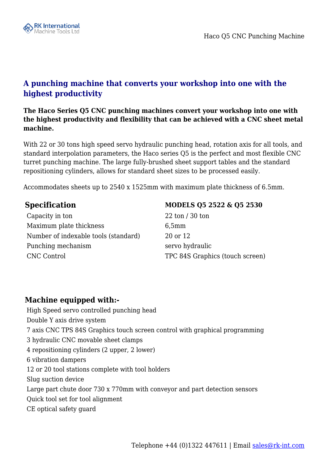

## **A punching machine that converts your workshop into one with the highest productivity**

**The Haco Series Q5 CNC punching machines convert your workshop into one with the highest productivity and flexibility that can be achieved with a CNC sheet metal machine.** 

With 22 or 30 tons high speed servo hydraulic punching head, rotation axis for all tools, and standard interpolation parameters, the Haco series Q5 is the perfect and most flexible CNC turret punching machine. The large fully-brushed sheet support tables and the standard repositioning cylinders, allows for standard sheet sizes to be processed easily.

Accommodates sheets up to 2540 x 1525mm with maximum plate thickness of 6.5mm.

Capacity in ton 22 ton / 30 ton Maximum plate thickness 6,5mm Number of indexable tools (standard) 20 or 12 Punching mechanism servo hydraulic CNC Control TPC 84S Graphics (touch screen)

## **Specification MODELS Q5 2522 & Q5 2530**

## **Machine equipped with:-**

 High Speed servo controlled punching head Double Y axis drive system 7 axis CNC TPS 84S Graphics touch screen control with graphical programming 3 hydraulic CNC movable sheet clamps 4 repositioning cylinders (2 upper, 2 lower) 6 vibration dampers 12 or 20 tool stations complete with tool holders Slug suction device Large part chute door 730 x 770mm with conveyor and part detection sensors Quick tool set for tool alignment CE optical safety guard